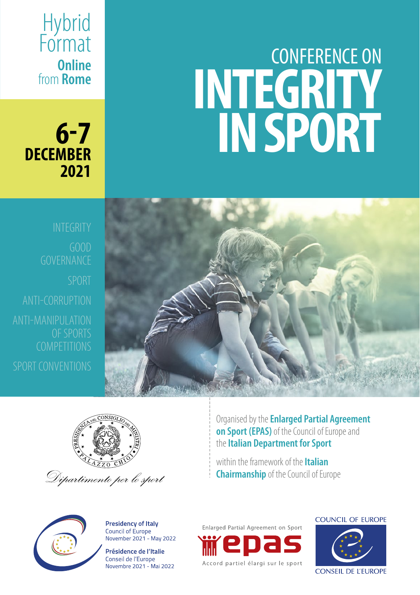# CONFERENCE ON **INTEGRITY IN SPORT**





Organised by the **Enlarged Partial Agreement on Sport (EPAS)** of the Council of Europe and the **Italian Department for Sport**

within the framework of the **Italian Chairmanship** of the Council of Europe



**6-7**

**Online** from **Rome**

**Hybrid** Format

**2021**

**DECEMBER**

**Presidency of Italy** Council of Europe November 2021 - May 2022

Présidence de l'Italie Conseil de l'Europe Novembre 2021 - Mai 2022 Enlarged Partial Agreement on Sport Accord partiel élargi sur le sport **COUNCIL OF EUROPE** 

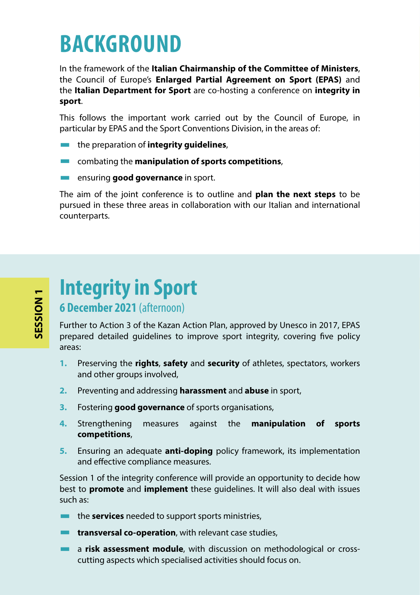## **BACKGROUND**

In the framework of the **Italian Chairmanship of the Committee of Ministers**, the Council of Europe's **Enlarged Partial Agreement on Sport (EPAS)** and the **Italian Department for Sport** are co-hosting a conference on **integrity in sport**.

This follows the important work carried out by the Council of Europe, in particular by EPAS and the Sport Conventions Division, in the areas of:

- the preparation of **integrity guidelines**,
- combating the **manipulation of sports competitions**,
- **EXECUTE:** ensuring **good governance** in sport.

The aim of the joint conference is to outline and **plan the next steps** to be pursued in these three areas in collaboration with our Italian and international counterparts.

#### **Integrity in Sport 6 December 2021** (afternoon)

Further to Action 3 of the Kazan Action Plan, approved by Unesco in 2017, EPAS prepared detailed guidelines to improve sport integrity, covering five policy areas:

- **1.** Preserving the **rights**, **safety** and **security** of athletes, spectators, workers and other groups involved.
- **2.** Preventing and addressing **harassment** and **abuse** in sport,
- **3.** Fostering **good governance** of sports organisations,
- **4.** Strengthening measures against the **manipulation of sports competitions**,
- **5.** Ensuring an adequate **anti-doping** policy framework, its implementation and effective compliance measures.

Session 1 of the integrity conference will provide an opportunity to decide how best to **promote** and **implement** these guidelines. It will also deal with issues such as:

- the **services** needed to support sports ministries,
- **EXECUTE:** transversal co-operation, with relevant case studies,
- **a** a risk assessment module, with discussion on methodological or crosscutting aspects which specialised activities should focus on.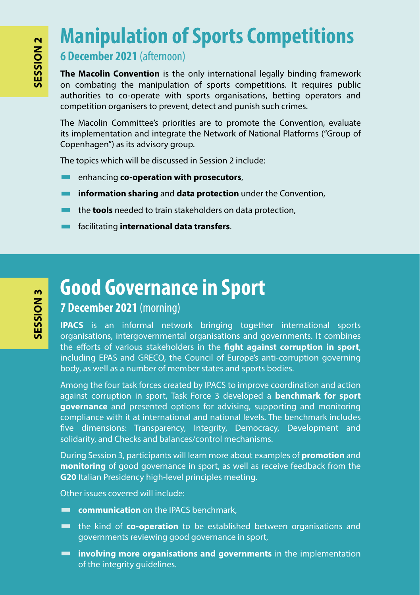### **Manipulation of Sports Competitions**

#### **6 December 2021** (afternoon)

**The Macolin Convention** is the only international legally binding framework on combating the manipulation of sports competitions. It requires public authorities to co-operate with sports organisations, betting operators and competition organisers to prevent, detect and punish such crimes.

The Macolin Committee's priorities are to promote the Convention, evaluate its implementation and integrate the Network of National Platforms ("Group of Copenhagen") as its advisory group.

The topics which will be discussed in Session 2 include:

- enhancing **co-operation with prosecutors**,
- **<u>Example 20</u> information sharing** and **data protection** under the Convention,
- the **tools** needed to train stakeholders on data protection,
- facilitating **international data transfers**.

### **Good Governance in Sport**

#### **7 December 2021** (morning)

**IPACS** is an informal network bringing together international sports organisations, intergovernmental organisations and governments. It combines the efforts of various stakeholders in the **fight against corruption in sport**, including EPAS and GRECO, the Council of Europe's anti-corruption governing body, as well as a number of member states and sports bodies.

Among the four task forces created by IPACS to improve coordination and action against corruption in sport, Task Force 3 developed a **benchmark for sport governance** and presented options for advising, supporting and monitoring compliance with it at international and national levels. The benchmark includes five dimensions: Transparency, Integrity, Democracy, Development and solidarity, and Checks and balances/control mechanisms.

During Session 3, participants will learn more about examples of **promotion** and **monitoring** of good governance in sport, as well as receive feedback from the **G20** Italian Presidency high-level principles meeting.

Other issues covered will include:

- **communication** on the IPACS benchmark,
- the kind of **co-operation** to be established between organisations and governments reviewing good governance in sport,
- **involving more organisations and governments** in the implementation of the integrity guidelines.